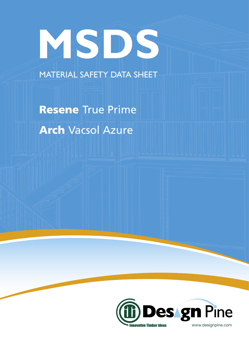# **MSDS**

MATERIAL SAFETY DATA SHEET

Resene True Prime Arch Vacsol Azure

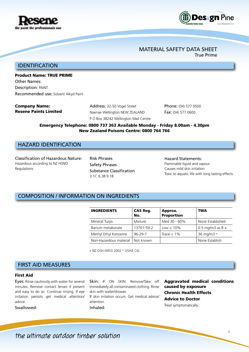

### First Aid

Eyes: Rinse cautiously with water for several minutes. Remove contact lenses if present and easy to do so. Continue rinsing. If eye irritation persists get medical attention/ advice.

Swallowed:

Skin: IF ON SKIN: Remove/Take off immediately all contaminated clothing. Rinse skin with water/shower.

INGREDIENTS CAS Reg.

+ NZ OSH (WES) 2002 \* OSHA CEL

No.

IF skin irritation occurs: Get medical advice/ attention.

Inhaled:

# Aggravated medical conditions caused by exposure Chronic Health Effects Advice to Doctor

Treat symptomatically.

Approx. Proportion

Mineral Turps Mixture Med 30 - 60% None Established Barium metaborate  $\begin{array}{c|c} | 13701-59-2 & \text{Low} < 10\% & 0.5 \text{ ma/m}^3 \text{ as } B + \end{array}$ Methyl Ethyl Ketoxime  $\begin{array}{|l|l|} 96-29-7 & \quad \text{Trace} < 1\% \end{array}$  36 mg/m3 \* Non-Hazardous material | Not known | None Establish

### Hazardous according to NZ HSNO Regulations Safety Phrases

COMPOSITION / INFORMATION ON INGREDIENTS

Substance Classification 3.1C 6.3B 9.1B

Risk Phrases

Hazard Statements: Flammable liquid and vapour Causes mild skin irritation Toxic to aquatic life with long lasting effects

TWA

Emergency Telephone: 0800 737 363 Available Monday - Friday 8.00am - 4.30pm New Zealand Poisons Centre: 0800 764 766

# IDENTIFICATION

# Product Name: TRUE PRIME

Other Names: Description: PAINT Recommended use: Solvent Alkyd Paint

Classification of Hazardous Nature:

HAZARD IDENTIFICATION

Company Name: Resene Paints Limited Address: 32-50 Vogel Street Naenae Wellington NEW ZEALAND P O Box 38242 Wellington Mail Centre Phone: (04) 577 0500 Fax: (04) 577 0600

# MATERIAL SAFETY DATA SHEET

True Prime



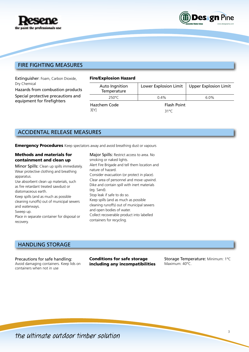



# FIRE FIGHTING MEASURES

Extinguisher: Foam, Carbon Dioxide, Dry Chemical

Hazards from combustion products Special protective precautions and equipment for firefighters

### Fire/Explosion Hazard

| Auto Ingnition<br>Temperature |                    | Lower Explosion Limit   Upper Explosion Limit |
|-------------------------------|--------------------|-----------------------------------------------|
| 250°C                         | $0.4\%$            | $6.0\%$                                       |
| Hazchem Code                  | <b>Flash Point</b> |                                               |
| 3[Y]                          | 31°C               |                                               |

# ACCIDENTAL RELEASE MEASURES

**Emergency Procedures** Keep spectators away and avoid breathing dust or vapours

### Methods and materials for containment and clean up

Minor Spills: Clean up spills immediately. Wear protective clothing and breathing apparatus.

Use absorbent clean up materials, such as fire retardant treated sawdust or diatomaceous earth.

Keep spills (and as much as possible cleaning runoffs) out of municipal sewers and waterways.

Sweep up.

Place in separate container for disposal or recovery.

Major Spills: Restrict access to area. No smoking or naked lights. Alert Fire Brigade and tell them location and nature of hazard. Consider evacuation (or protect in place). Clear area of personnel and move upwind. Dike and contain spill with inert materials (eg. Sand). Stop leak if safe to do so. Keep spills (and as much as possible cleaning runoffs) out of municipal sewers and open bodies of water. Collect recoverable product into labelled containers for recycling.

# HANDLING STORAGE

Precautions for safe handling: Avoid damaging containers. Keep lids on containers when not in use

Conditions for safe storage including any incompatibilities

Storage Temperature: Minimum: 1°C Maximum: 40°C.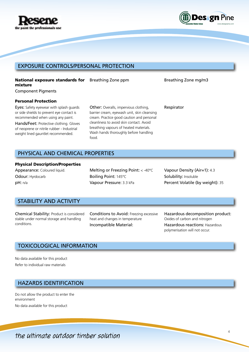



# EXPOSURE CONTROLS/PERSONAL PROTECTION

# National exposure standards for mixture

Component Pigments

### Personal Protection

Eyes: Safety eyewear with splash guards or side shields to prevent eye contact is recommended when using any paint.

Hands/Feet: Protective clothing. Gloves of neoprene or nitrile rubber - Industrial weight lined gauntlet recommended.

Other: Overalls, impervious clothing, barrier cream, eyewash unit, skin cleansing cream. Practice good caution and personal cleanliness to avoid skin contact. Avoid breathing vapours of heated materials. Wash hands thoroughly before handling food.

Breathing Zone ppm Breathing Zone mg/m3

Respirator

# PHYSICAL AND CHEMICAL PROPERTIES

### Physical Description/Properties

Appearance: Coloured liquid. Odour: Hyrdocarb pH: n/a

Melting or Freezing Point: < -40°C Boiling Point: 145°C Vapour Pressure: 3.3 kPa

Vapour Density (Air=1): 4.3 Solubility: Insoluble Percent Volatile (by weight): 35

# STABILITY AND ACTIVITY

Chemical Stability: Product is considered stable under normal storage and handling conditions.

Conditions to Avoid: Freezing excessive heat and changes in temperature Incompatible Material:

Hazardous decomposition product: Oxides of carbon and nitrogen Hazardous reactions: Hazardous polymerisation will not occur.

# TOXICOLOGICAL INFORMATION

No data available for this product Refer to individual raw materials

# HAZARDS IDENTIFICATION

Do not allow the product to enter the environment No data available for this product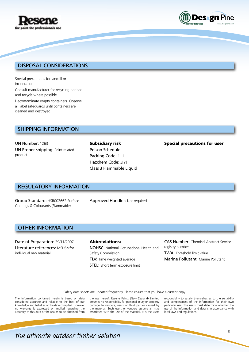



# DISPOSAL CONSIDERATIONS

Special precautions for landfill or incineration

Consult manufacturer for recycling options and recycle where possible

Decontaminate empty containers. Observe all label safeguards until containers are cleaned and destroyed

# SHIPPING INFORMATION

UN Number: 1263 UN Proper shipping: Paint related product

Subsidiary risk Poison Schedule Packing Code: 111 Hazchem Code: 3[Y] Class 3 Flammable Liquid

### Special precautions for user

# REGULATORY INFORMATION

Group Standard: HSR002662 Surface Coatings & Colourants (Flammable)

Approved Handler: Not required

# OTHER INFORMATION

Date of Preparation: 29/11/2007 Literature references: MSDS's for individual raw material

Abbreviations: NOHSC: National Occupational Health and Safety Commission TLV: Time weighted average **STEL:** Short term exposure limit

CAS Number: Chemical Abstract Service registry number TWA: Threshold limit value Marine Pollutant: Marine Pollutant

Safety data sheets are updated frequently. Please ensure that you have a current copy

The information contained herein is based on data considered accurate and reliable to the best of our knowledge and belief as of the date compiled. However no warranty is expressed or implied regarding the accuracy of this data or the results to be obtained from

the use hereof. Resene Paints (New Zealand) Limited assumes no responsibility for personal injury or property damage to vendors, users or third parties caused by the material. Such users or vendors assume all risks associated with the use of the material. It is the users

responsiblity to satisfy themselves as to the suitability and completeness of the information for their own particular use. The users must determine whether the use of the information and data is in accordance with local laws and regulations.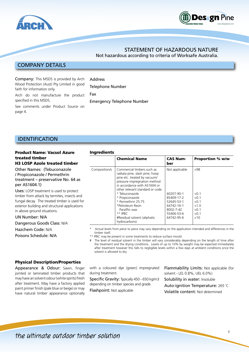



# STATEMENT OF HAZARDOUS NATURE

Not hazardous according to criteria of Worksafe Australia.

# COMPANY DETAILS

Company: This MSDS is provided by Arch Wood Protection (Aust) Pty Limited in good faith for information only.

**Address** 

Ingredients

Arch do not manufacture the product specified in this MSDS.

Telephone Number Fax

Emergency Telephone Number

See comments under Product Source on page 4.

# IDENTIFICATION

### Product Name: Vacsol Azure treated timber H3 LOSP Azole treated timber

Other Names: (Tebuconazole / Propiconazole / Permethrin treatment – preservative No. 64 as per AS1604.1)

Uses: LOSP treatment is used to protect timber from attack by termites, insects and fungal decay. The treated timber is used for exterior building and structural applications in above ground situations.

### UN Number: N/A Dangerous Goods Class: N/A

Hazchem Code: N/A

Poisons Schedule: N/A

### Chemical Name CAS Number Proportion % w/w Composition/s  $\vert$  Commercial timbers such as radiata pine, slash pine, hoop pine etc. treated by vacuum/ pressure impregnation method in accordance with AS1604 or other relevant standard or code. \* Tebuconazole \* Propiconazole \* Permethrin 25:75 \*Petroleum Resin Not applicable 60207-90-1 85409-17-2 52645-53-1 64742-16-1  $~108$  $< 0.1$  $< 0.1$  $< 0.1$  $< 1.0$

\*\* IPBC #Residual solvent (aliphatic hydrocarbons) 55406-53-6 64742-95-6  $< 0.1$ <10 Actual levels from piece to piece may vary depending on the application intended and differences in the timber itself.

8002-7-42

\*\* IPBC may be present in some treatments to reduce surface mould.

Paraffin wax

The level of residual solvent in the timber will vary considerably depending on the length of time after the treatment and the drying conditions. Levels of up to 10% by weight may be expected immediately after treatment however this falls to negligible levels within a few days at ambient conditions once the solvent is allowed to dry.

### Physical Description/Properties

Appearance & Odour: Sawn, finger jointed or laminated timber products that may have an solvent odour (white spirits) fresh after treatment. May have a factory applied paint primer finish (pale blue or beige) or may have natural timber appearance optionally

with a coloured dye (green) impregnated during treatment.

Specific Gravity: Typically 450 - 650 kg/m3 depending on timber species and grade.

Flashpoint: Not applicable

Flammability Limits: Not applicable (for solvent - LEL 0.8%, UEL 6.0%)

 $< 0.1$ 

Solubility in water: Insoluble

Auto-ignition Temperature: 265 ˚C

Volatile content: Not determined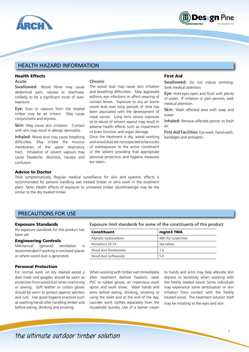



# HEALTH HAZARD INFORMATION

## Health Effects

### Acute

Swallowed: Wood fibres may cause abdominal pain, nausea or diarrhoea. Unlikely to be a significant route of overexposure.

Eye: Dust or vapours from the treated timber may be an irritant. May cause conjunctivitis and dryness.

Skin: May cause skin irritation. Contact with skin may result in allergic dermatitis.

Inhaled: Wood dust may cause breathing difficulties. May irritate the mucous membranes of the upper respiratory tract. Inhalation of solvent vapours may cause headache, dizziness, nausea and confusion.

### Chronic

The wood dust may cause skin irritation and breathing difficulties. May aggravate asthma, eye infections or affect wearing of contact lenses. Exposure to any air borne wood dust over long periods of time has been associated with the development of nasal cancer. Long term excess exposure to or abuse of solvent vapour may result in adverse health effects such as impairment of brain function and organ damage.

Once the treatment is dry, wood working and wood dust are not expected to be routes of overexposure to the active constituent or the solvent providing that appropriate personal protection and hygiene measures are taken.

## First Aid

Swallowed: Do not induce vomiting. Seek medical attention.

Eye: Hold eyes open and flush with plenty of water. If irritation or pain persists, seek medical attention.

Skin: Wash affected area with soap and water

Inhaled: Remove affected person to fresh air.

First Aid Facilities: Eye wash, hand wash, bandages and antiseptic.

# Advice to Doctor

Treat symptomatically. Regular medical surveillance for skin and systemic effects is recommended for persons handling wet treated timber or who work in the treatment plant. Note: Health effects of exposure to untreated timber (dust/shavings) may be the similar to the dry treated timber.

# PRECAUTIONS FOR USE

### Exposure Standards

No exposure standards for this product has been set.

### Engineering Controls

Mechanical (general) ventilation is recommended if working in enclosed spaces or where wood dust is generated.

### Personal Protection

For normal work on dry treated wood a dust mask and goggles should be worn as protection from wood dust when machining or sawing. Soft leather or cotton gloves should be worn to protect against splinters and cuts. Use good hygiene practices such as washing hands after handling timber and before eating, drinking and smoking.

Exposure limit standards for some of the constituents of this product

| Constituent            | mg/m3 TWA            |
|------------------------|----------------------|
| Aliphatic hydrocarbons | 480 (for turpentine) |
| Permethrin 25:75       | See below            |
| Wood dust (hardwoods)  | 1.0                  |
| Wood dust (softwoods)  | 5 O                  |

When working with timber wet immediately after treatment (before fixation), wear PVC or rubber gloves, an impervious work apron and work shoes. Wash hands and arms before eating, drinking, smoking or using the toilet and at the end of the day. Launder work clothes separately from the household laundry. Use of a barrier cream

to hands and arms may help alleviate skin dryness or sensitivity when working with the freshly treated wood. Some individuals may experience some sensitisation or skin irritation from contact with the freshly treated wood. The treatment solution itself may be irritating to the eyes and skin.